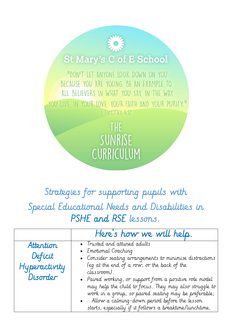## **St Mary's C of E School**

"DON'T LET ANYONE LOOK DOWN ON YOU BECAUSE YOU ARE YOUNG. BE AN EXAMPLE TO ALL BELIEVERS IN WHAT YOU SAY, IN THE WAY YOU LIVE IN YOUR LOVE YOUR FAITH AND YOUR PURITY." I TIMOTHY 4:12

> THE SUNRISE CURRICULUM

Strategies for supporting pupils with Special Educational Needs and Disabilities in PSHE and RSE lessons.

|                                                   | Here's how we will help.                                                                                                                                                                                                                                                                                                                                                                                                                                                                  |
|---------------------------------------------------|-------------------------------------------------------------------------------------------------------------------------------------------------------------------------------------------------------------------------------------------------------------------------------------------------------------------------------------------------------------------------------------------------------------------------------------------------------------------------------------------|
| Attention<br>Deficit<br>Hyperactivity<br>Disorder | • Trusted and attuned adults<br>• Emotional Coaching<br>• Consider seating arrangements to minimise distractions<br>(eq at the end of a row, or the back of the<br>classroom).<br>• Paired working, or support from a positive role model<br>may help the child to focus. They may also struggle to<br>work in a group, so paired seating may be preferable;<br>$\bullet$ $\Box$ Allow a calming-down period before the lesson<br>starts, especially if it follows a breaktime/lunchtime, |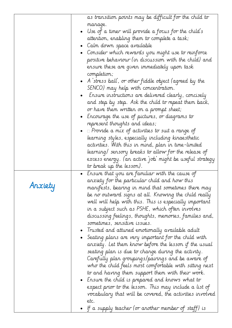|         |           | as transition points may be difficult for the child to        |
|---------|-----------|---------------------------------------------------------------|
|         |           | manage.                                                       |
|         | $\bullet$ | Use of a timer will provide a focus for the child's           |
|         |           | attention, enabling them to complete a task;                  |
|         |           | Calm down space available                                     |
|         |           | Consider which rewards you might use to reinforce             |
|         |           | positive behaviour (in discussion with the child) and         |
|         |           | ensure these are given immediately upon task                  |
|         |           | completion;                                                   |
|         |           | • $\,$ A `stress ball`, or other fiddle object (agreed by the |
|         |           | SENCO) may help with concentration.                           |
|         |           | Ensure instructions are delivered clearly, concisely          |
|         |           | and step by step. Ask the child to repeat them back,          |
|         |           | or have them written on a prompt sheet;                       |
|         |           | • Encourage the use of pictures, or diagrams to               |
|         |           | represent thoughts and ideas;                                 |
|         |           | $\Box$ Provide a mix of activities to suit a range of         |
|         |           | learning styles, especially including kinaesthetic            |
|         |           | activities. With this in mind, plan in time-limited           |
|         |           | learning/ sensory breaks to allow for the release of          |
|         |           | excess energy. (an active job' might be useful strategy       |
|         |           | to break up the lesson).                                      |
|         | $\bullet$ | Ensure that you are familiar with the cause of                |
|         |           | anxiety for the particular child and how this                 |
| Anxiety |           | manifests, bearing in mind that sometimes there may           |
|         |           | be no outward signs at all. Knowing the child really          |
|         |           | well will help with this. This is especially important        |
|         |           | in a subject such as PSHE, which often involves               |
|         |           | discussing feelings, thoughts, memories, families and,        |
|         |           | sometimes, sensitive issues.                                  |
|         |           | Trusted and attuned emotionally available adult               |
|         |           | Seating plans are very important for the child with           |
|         |           | anxiety. Let them know before the lesson if the usual         |
|         |           | seating plan is due to change during the activity.            |
|         |           | Carefully plan groupings/pairings and be aware of             |
|         |           | who the child feels most comfortable with sitting next        |
|         |           | to and having them support them with their work.              |
|         |           | - Ensure the child is prepared and knows what to              |
|         |           | expect prior to the lesson. This may include a list of        |
|         |           | vocabulary that will be covered, the activities involved      |
|         |           | etc.                                                          |
|         |           | If a supply teacher (or another member of staff) is           |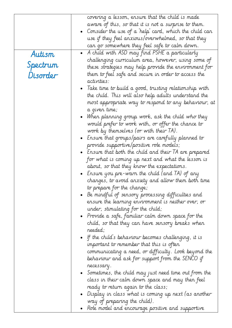|          | covering a lesson, ensure that the child is made                 |
|----------|------------------------------------------------------------------|
|          | aware of this, so that it is not a surprise to them.             |
|          | Consider the use of a 'help' card, which the child can           |
|          | use if they feel anxious/overwhelmed, so that they               |
|          | can go somewhere they feel safe to calm down.                    |
| Autism   | A child with ASD may find PSHE a particularly                    |
|          | challenging curriculum area, however, using some of              |
| Spectrum | these strategies may help provide the environment for            |
| Disorder | them to feel safe and secure in order to access the              |
|          | activities:                                                      |
|          | Take time to build a good, trusting relationship with            |
|          | the child. This will also help adults understand the             |
|          | most appropriate way to respond to any behaviour, at             |
|          | a given time;                                                    |
|          | When planning group work, ask the child who they                 |
|          | would prefer to work with, or offer the chance to                |
|          | work by themselves (or with their IA).                           |
|          | Ensure that groups/pairs are carefully planned to<br>$\bullet$   |
|          | provide supportive/positive role models;                         |
|          | $\bullet$ ) Ensure that both the child and their TA are prepared |
|          | for what is coming up next and what the lesson is                |
|          | about, so that they know the expectations.                       |
|          | Ensure you pre-warn the child (and TA) of any                    |
|          | changes, to avoid anxiety and allow them both time               |
|          | to prepare for the change;                                       |
|          | Be mindful of sensory processing difficulties and                |
|          | ensure the learning environment is neither over, or              |
|          | under, stimulating for the child;                                |
|          | • Provide a safe, familiar calm down space for the $\cdot$       |
|          | child, so that they can have sensory breaks when                 |
|          | needed;                                                          |
|          | • If the child's behaviour becomes challenging, it is            |
|          | important to remember that this is often                         |
|          | communicating a need, or difficulty. Look beyond the             |
|          | behaviour and ask for support from the SENCO if                  |
|          | necessary.                                                       |
|          |                                                                  |
|          | $\bullet$ Sometimes, the child may just need time out from the   |
|          | class in their calm down space and may then feel                 |
|          | ready to return again to the class;                              |
|          | $\bullet$ Display in class what is coming up next (as another    |
|          | way of preparing the child).                                     |
|          | Role model and encourage positive and supportive                 |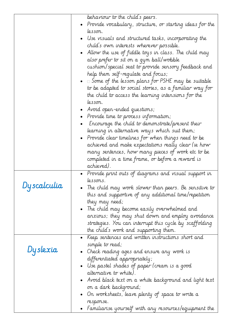|              | behaviour to the child's peers.<br>Provide vocabulary, structure, or starting ideas for the |
|--------------|---------------------------------------------------------------------------------------------|
|              | lesson.                                                                                     |
|              | Use visuals and structured tasks, incorporating the                                         |
|              |                                                                                             |
|              | child's own interests wherever possible.                                                    |
|              | Allow the use of fiddle toys in class. The child may                                        |
|              | also prefer to sit on a gym ball/wobble                                                     |
|              | cushion/special seat to provide sensory feedback and                                        |
|              | help them self-regulate and focus;                                                          |
|              | $\bullet$ $\;\sqcap$ Some of the lesson plans for PSHE may be suitable                      |
|              | to be adapted to social stories, as a familiar way for                                      |
|              | the child to access the learning intensions for the                                         |
|              | lesson.                                                                                     |
|              | • Avoid open-ended questions;                                                               |
|              | • Provide time to process information;                                                      |
|              | Encourage the child to demonstrate/present their                                            |
|              | learning in alternative ways which suit them;                                               |
|              | • Provide clear timelines for when things need to be                                        |
|              | achieved and make expectations really clear (ie how                                         |
|              | many sentences, how many pieces of work etc to be                                           |
|              | completed in a time frame, or before a reward is                                            |
|              | achieved).                                                                                  |
|              | Provide print outs of diagrams and visual support in                                        |
|              | lessons.                                                                                    |
| Dy scalculia | The child may work slower than peers. Be sensitive to                                       |
|              | this and supportive of any additional time/repetition                                       |
|              | they may need;                                                                              |
|              | • The child may become easily overwhelmed and                                               |
|              | anxious; they may shut down and employ avoidance                                            |
|              | strategies. You can interrupt this cycle by scaffolding                                     |
|              | the child's work and supporting them.                                                       |
|              | • Keep sentences and written instructions short and                                         |
|              | simple to read;                                                                             |
| Dyslexia     | • Check reading ages and ensure any work is                                                 |
|              | differentiated appropriately;                                                               |
|              | $\bullet$ Use pastel shades of paper (cream is a good                                       |
|              | alternative to white).                                                                      |
|              | - Avoid black text on a white background and light text $\;$                                |
|              | on a dark background;                                                                       |
|              | $\bullet$ . On worksheets, leave plenty of space to write a                                 |
|              | response.                                                                                   |
|              | Familiarise yourself with any resources/equipment the                                       |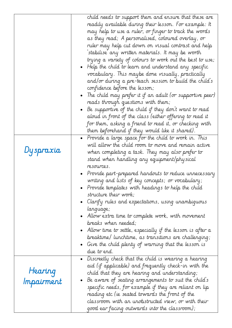|                       | child needs to support them and ensure that these are<br>readily available during their lesson. For example: It<br>may help to use a ruler, or finger to track the words<br>as they read; A personalised, coloured overlay, or<br>ruler may help cut down on visual contrast and help<br>stabilise any written materials. It may be worth<br>trying a variety of colours to work out the best to use;<br>Help the child to learn and understand any specific<br>vocabulary. This maybe done visually, practically<br>and/or during a pre-teach session to build the child's<br>confidence before the lesson;<br>The child may prefer it if an adult (or supportive peer)<br>reads through questions with them;<br>Be supportive of the child if they don't want to read<br>aloud in front of the class (either offering to read it<br>for them, asking a friend to read it, or checking with<br>them beforehand if they would like it shared). |
|-----------------------|------------------------------------------------------------------------------------------------------------------------------------------------------------------------------------------------------------------------------------------------------------------------------------------------------------------------------------------------------------------------------------------------------------------------------------------------------------------------------------------------------------------------------------------------------------------------------------------------------------------------------------------------------------------------------------------------------------------------------------------------------------------------------------------------------------------------------------------------------------------------------------------------------------------------------------------------|
| Dyspraxia             | • Provide a large space for the child to work in. This<br>will allow the child room to move and remain active<br>when completing a task. They may also prefer to<br>stand when handling any equipment/physical<br>resources.<br>Provide part-prepared handouts to reduce unnecessary<br>writing and lists of key concepts; or vocabulary;<br>$\bullet$ Provide templates with headings to help the child<br>structure their work;<br>· Clarify rules and expectations, using unambiguous<br>language;<br>· Allow extra time to complete work, with movement<br>breaks when needed;<br>- Allow time to settle, especially if the lesson is after a<br>breaktime/ lunchtime, as transitions are challenging;<br>$\bullet~$ Give the child plenty of warning that the lesson is<br>due to end.                                                                                                                                                    |
| Hearing<br>Impairment | • Discreetly check that the child is wearing a hearing<br>aid (if applicable) and frequently check-in with the<br>child that they are hearing and understanding;<br>Be aware of seating arrangements to suit the child's<br>specific needs, for example if they are reliant on lip<br>reading etc (ie seated towards the front of the<br>classroom with an unobstructed view, or with their<br>good ear facing outwards into the classroom);                                                                                                                                                                                                                                                                                                                                                                                                                                                                                                   |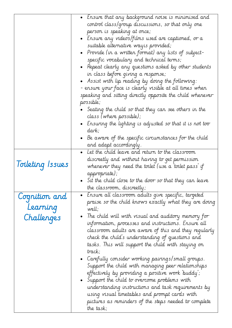|                  | • Ensure that any background noise is minimised and                |
|------------------|--------------------------------------------------------------------|
|                  | control class/group discussions, so that only one                  |
|                  | person is speaking at once;                                        |
|                  | • Ensure any videos/films used are captioned, or a                 |
|                  | suitable alternative way is provided;                              |
|                  | • Provide (in a written format) any lists of subject-              |
|                  | specific vocabulary and technical terms;                           |
|                  | • Repeat clearly any questions asked by other students             |
|                  | in class before giving a response;                                 |
|                  | • Assist with lip reading by doing the following:                  |
|                  | - ensure your face is clearly visible at all times when            |
|                  | speaking and sitting directly opposite the child whenever          |
|                  | possible;                                                          |
|                  | Seating the child so that they can see others in the               |
|                  | class (where possible);                                            |
|                  | • Ensuring the lighting is adjusted so that it is not too<br>dark; |
|                  | • Be aware of the specific circumstances for the child             |
|                  | and adapt accordingly.                                             |
|                  | Let the child leave and return to the classroom                    |
|                  | discreetly and without having to get permission                    |
| Toileting Issues | whenever they need the toilet (use a 'toilet pass' if              |
|                  | appropriate);                                                      |
|                  | Sit the child close to the door so that they can leave             |
|                  | the classroom, discreetly;                                         |
|                  | Ensure all classroom adults give specific, targeted                |
| Cognition and    | praise so the child knows exactly what they are doing              |
| Learning         | well;                                                              |
| Challenges       | The child will with visual and auditory memory for                 |
|                  | information, processes and instructions. Ensure all                |
|                  | classroom adults are aware of this and they regularly              |
|                  | check the child's understanding of questions and                   |
|                  | tasks. This will support the child with staying on                 |
|                  | track;                                                             |
|                  | • Carefully consider working pairings/small groups.                |
|                  | Support the child with managing peer relationships                 |
|                  | effectively by providing a positive work buddy;                    |
|                  | Support the child to overcome problems with                        |
|                  | understanding instructions and task requirements by                |
|                  | using visual timetables and prompt cards with                      |
|                  | pictures as reminders of the steps needed to complete              |
|                  | the task;                                                          |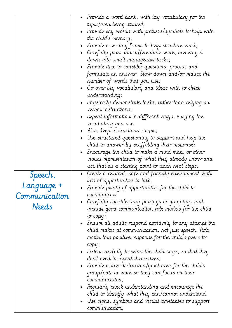|               | • Provide a word bank, with key vocabulary for the                                                       |
|---------------|----------------------------------------------------------------------------------------------------------|
|               | topic/area being studied;                                                                                |
|               | • Provide key words with pictures/symbols to help with                                                   |
|               | the child's memory;                                                                                      |
|               | • Provide a writing frame to help structure work;                                                        |
|               | • Carefully plan and differentiate work, breaking it                                                     |
|               | down into small manageable tasks;                                                                        |
|               | • Provide time to consider questions, process and                                                        |
|               | formulate an answer. Slow down and/or reduce the                                                         |
|               | number of words that you use;                                                                            |
|               | • Go over key vocabulary and ideas with to check                                                         |
|               | understanding;                                                                                           |
|               |                                                                                                          |
|               | • Physically demonstrate tasks, rather than relying on<br>verbal instructions;                           |
|               |                                                                                                          |
|               | • Repeat information in different ways, varying the                                                      |
|               | vocabulary you use.                                                                                      |
|               | • Also, keep instructions simple;                                                                        |
|               | Use structured questioning to support and help the                                                       |
|               | child to answer by scaffolding their response;                                                           |
|               | - $\epsilon$ . Encourage the child to make a mind map, or other                                          |
|               | visual representation of what they already know and                                                      |
|               | use that as a starting point to teach next steps.                                                        |
| Speech,       | $\bullet$ Create a relaxed, safe and friendly environment with                                           |
| Language +    | lots of opportunities to talk.                                                                           |
|               | • Provide plenty of opportunities for the child to<br>communicate                                        |
| Communication |                                                                                                          |
| Needs         | Carefully consider any pairings or groupings and<br>include good communication role models for the child |
|               |                                                                                                          |
|               | to copy;                                                                                                 |
|               | • Ensure all adults respond positively to any attempt the                                                |
|               | child makes at communication, not just speech. Role                                                      |
|               | model this positive response for the child's peers to                                                    |
|               | copy;                                                                                                    |
|               | $\bullet$ Listen carefully to what the child says, so that they                                          |
|               | don't need to repeat themselves;                                                                         |
|               | Provide a low distraction/quiet area for the child's                                                     |
|               | group/pair to work so they can focus on their                                                            |
|               | communication;                                                                                           |
|               | $\bullet$ Regularly check understanding and encourage the                                                |
|               | child to identify what they can/cannot understand.                                                       |
|               | $\bullet$ Use signs, symbols and visual timetables to support                                            |
|               | communication;                                                                                           |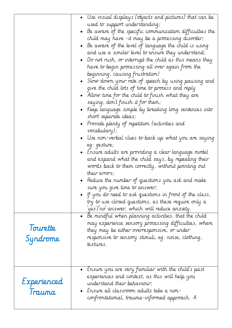| Tourette<br>Syndrome  | • Use visual displays (objects and pictures) that can be<br>used to support understanding;<br>• Be aware of the specific communication difficulties the<br>child may have -it may be a processing disorder;<br>• Be aware of the level of language the child is using<br>and use a similar level to ensure they understand;<br>• Do not rush, or interrupt the child as this means they<br>have to begin processing all over again from the<br>beginning, causing frustration!<br>• Slow down your rate of speech by using pausing and<br>give the child lots of time to process and reply<br>• Allow time for the child to finish what they are<br>saying, don't finish it for them;<br>• Keep language simple by breaking long sentences into<br>short separate ideas;<br>• Provide plenty of repetition (activities and<br>vocabulary);<br>$\bullet$ Use non-verbal clues to back up what you are saying<br>eg: gesture;<br>• Ensure adults are providing a clear language model<br>and expand what the child says, by repeating their<br>words back to them correctly, without pointing out<br>their errors;<br>Reduce the number of questions you ask and make<br>sure you give time to answer;<br>• If you do need to ask questions in front of the class,<br>try to use closed questions, as these require only a<br>yes/ro answer, which will reduce anxiety.<br>$\bullet$ Be mindful when planning activities, that the child<br>may experience sensory processing difficulties, where<br>they may be either overresponsive, or under<br>responsive to sensory stimuli, eg: noise, clothing,<br>textures. |
|-----------------------|--------------------------------------------------------------------------------------------------------------------------------------------------------------------------------------------------------------------------------------------------------------------------------------------------------------------------------------------------------------------------------------------------------------------------------------------------------------------------------------------------------------------------------------------------------------------------------------------------------------------------------------------------------------------------------------------------------------------------------------------------------------------------------------------------------------------------------------------------------------------------------------------------------------------------------------------------------------------------------------------------------------------------------------------------------------------------------------------------------------------------------------------------------------------------------------------------------------------------------------------------------------------------------------------------------------------------------------------------------------------------------------------------------------------------------------------------------------------------------------------------------------------------------------------------------------------------------------------------------------------|
| Experienced<br>Trauma | $\bullet$ - Ensure you are very familiar with the child's past<br>experiences and context, as this will help you<br>understand their behaviour;<br>• Ensure all classroom adults take a non-<br>confrontational, trauma-informed approach. A                                                                                                                                                                                                                                                                                                                                                                                                                                                                                                                                                                                                                                                                                                                                                                                                                                                                                                                                                                                                                                                                                                                                                                                                                                                                                                                                                                       |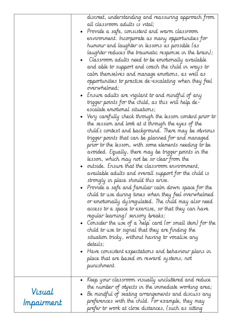|                      | discreet, understanding and reassuring approach from<br>all classroom adults is vital;<br>• Provide a safe, consistent and warm classroom<br>environment. Incorporate as many opportunities for<br>humour and laughter in lessons as possible (as<br>laughter reduces the traumatic response in the brain);<br>Classroom adults need to be emotionally available<br>and able to support and coach the child in ways to<br>calm themselves and manage emotions, as well as<br>opportunities to practise de-escalating when they feel<br>overwhelmed;<br>• Ensure adults are vigilant to and mindful of any<br>trigger points for the child, as this will help de-<br>escalate emotional situations;<br>• Very carefully check through the lesson content prior to<br>the session and look at it through the eyes of the<br>child's context and background. There may be obvious<br>trigger points that can be planned for and managed<br>prior to the lesson, with some elements needing to be<br>avoided. Equally, there may be trigger points in the<br>lesson, which may not be so clear from the<br>outside. Ensure that the classroom environment,<br>available adults and overall support for the child is<br>strongly in place should this arise.<br>Provide a safe and familiar calm down space for the<br>child to use during times when they feel overwhelmed<br>or emotionally dysregulated. The child may also need<br>access to a space to exercise, so that they can have<br>regular learning/ sensory breaks;<br>• Consider the use of a 'help' card (or small item) for the<br>child to use to signal that they are finding the<br>situation tricky, without having to vocalise any<br>details;<br>Have consistent expectations and behaviour plans in<br>place that are based on reward systems, not<br>punishment. |
|----------------------|-------------------------------------------------------------------------------------------------------------------------------------------------------------------------------------------------------------------------------------------------------------------------------------------------------------------------------------------------------------------------------------------------------------------------------------------------------------------------------------------------------------------------------------------------------------------------------------------------------------------------------------------------------------------------------------------------------------------------------------------------------------------------------------------------------------------------------------------------------------------------------------------------------------------------------------------------------------------------------------------------------------------------------------------------------------------------------------------------------------------------------------------------------------------------------------------------------------------------------------------------------------------------------------------------------------------------------------------------------------------------------------------------------------------------------------------------------------------------------------------------------------------------------------------------------------------------------------------------------------------------------------------------------------------------------------------------------------------------------------------------------------------------------------------------------------------------------------|
|                      |                                                                                                                                                                                                                                                                                                                                                                                                                                                                                                                                                                                                                                                                                                                                                                                                                                                                                                                                                                                                                                                                                                                                                                                                                                                                                                                                                                                                                                                                                                                                                                                                                                                                                                                                                                                                                                     |
| Visual<br>Impairment | Keep your classroom visually uncluttered and reduce<br>the number of objects in the immediate working area;<br>Be mindful of seating arrangements and discuss any<br>preferences with the child. For example, they may<br>prefer to work at close distances, (such as sitting                                                                                                                                                                                                                                                                                                                                                                                                                                                                                                                                                                                                                                                                                                                                                                                                                                                                                                                                                                                                                                                                                                                                                                                                                                                                                                                                                                                                                                                                                                                                                       |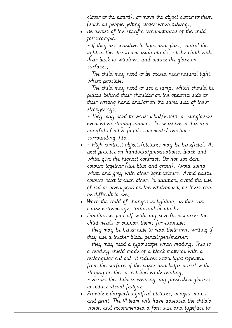|  | closer to the board), or move the object closer to them,       |
|--|----------------------------------------------------------------|
|  | (such as people getting closer when talking);                  |
|  | $\bullet$ Be aware of the specific circumstances of the child, |
|  | for example:                                                   |
|  | - If they are sensitive to light and glare, control the        |
|  | light in the classroom using blinds, sit the child with        |
|  | their back to windows and reduce the glare on                  |
|  | surfaces;                                                      |
|  | - The child may need to be seated near natural light,          |
|  | where possible;                                                |
|  | - The child may need to use a lamp, which should be            |
|  | places behind their shoulder on the opposite side to           |
|  | their writing hand and/or on the same side of their            |
|  | stronger eye;                                                  |
|  | - They may need to wear a hat/visors, or sunglasses            |
|  | even when staying indoors. Be sensitive to this and            |
|  | mindful of other pupils comments/reactions                     |
|  | surrounding this;                                              |
|  | - High contrast objects/pictures may be beneficial. As         |
|  | best practice on handouts/presentations, black and             |
|  | white give the highest contrast. Do not use dark               |
|  | colours together (like blue and green). Avoid using            |
|  | white and grey with other light colours. Avoid pastel          |
|  | colours next to each other. In addition, avoid the use         |
|  |                                                                |
|  | of red or green pens on the whiteboard, as these can           |
|  | be difficult to see;                                           |
|  | Warn the child of changes in lighting, as this can             |
|  | cause extreme eye strain and headaches.                        |
|  | - Familiarise yourself with any specific resources the $\,$    |
|  | child needs to support them; for example:                      |
|  | - they may be better able to read their own writing if         |
|  | they use a thicker black pencil/pen/marker;                    |
|  | - they may need a typo scope when reading. This is             |
|  | a reading shield made of a black material with a               |
|  | rectangular cut out. It reduces extra light reflected          |
|  | from the surface of the paper and helps assist with            |
|  | staying on the correct line while reading;                     |
|  | - ensure the child is wearing any prescribed glasses           |
|  | to reduce visual fatique;                                      |
|  | • Provide enlarged/magnified pictures, images, maps            |
|  | and print. The VI team will have assessed the child's          |
|  | vision and recommended a font size and typeface to             |